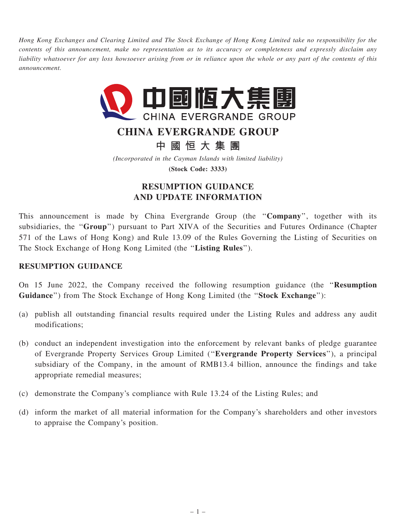Hong Kong Exchanges and Clearing Limited and The Stock Exchange of Hong Kong Limited take no responsibility for the contents of this announcement, make no representation as to its accuracy or completeness and expressly disclaim any liability whatsoever for any loss howsoever arising from or in reliance upon the whole or any part of the contents of this announcement.



# CHINA EVERGRANDE GROUP

中 國 恒 大 集 團

(Incorporated in the Cayman Islands with limited liability)

(Stock Code: 3333)

# RESUMPTION GUIDANCE AND UPDATE INFORMATION

This announcement is made by China Evergrande Group (the "Company", together with its subsidiaries, the "Group") pursuant to Part XIVA of the Securities and Futures Ordinance (Chapter 571 of the Laws of Hong Kong) and Rule 13.09 of the Rules Governing the Listing of Securities on The Stock Exchange of Hong Kong Limited (the ''Listing Rules'').

## RESUMPTION GUIDANCE

On 15 June 2022, the Company received the following resumption guidance (the ''Resumption Guidance") from The Stock Exchange of Hong Kong Limited (the "Stock Exchange"):

- (a) publish all outstanding financial results required under the Listing Rules and address any audit modifications;
- (b) conduct an independent investigation into the enforcement by relevant banks of pledge guarantee of Evergrande Property Services Group Limited (''Evergrande Property Services''), a principal subsidiary of the Company, in the amount of RMB13.4 billion, announce the findings and take appropriate remedial measures;
- (c) demonstrate the Company's compliance with Rule 13.24 of the Listing Rules; and
- (d) inform the market of all material information for the Company's shareholders and other investors to appraise the Company's position.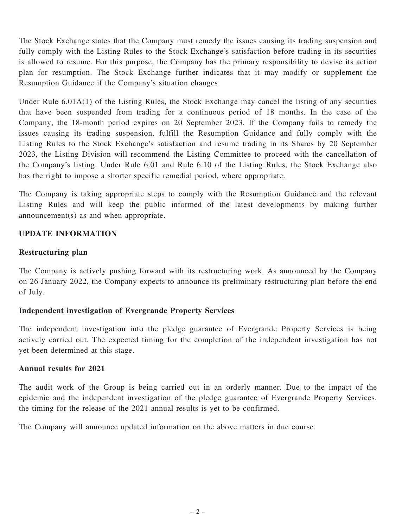The Stock Exchange states that the Company must remedy the issues causing its trading suspension and fully comply with the Listing Rules to the Stock Exchange's satisfaction before trading in its securities is allowed to resume. For this purpose, the Company has the primary responsibility to devise its action plan for resumption. The Stock Exchange further indicates that it may modify or supplement the Resumption Guidance if the Company's situation changes.

Under Rule 6.01A(1) of the Listing Rules, the Stock Exchange may cancel the listing of any securities that have been suspended from trading for a continuous period of 18 months. In the case of the Company, the 18-month period expires on 20 September 2023. If the Company fails to remedy the issues causing its trading suspension, fulfill the Resumption Guidance and fully comply with the Listing Rules to the Stock Exchange's satisfaction and resume trading in its Shares by 20 September 2023, the Listing Division will recommend the Listing Committee to proceed with the cancellation of the Company's listing. Under Rule 6.01 and Rule 6.10 of the Listing Rules, the Stock Exchange also has the right to impose a shorter specific remedial period, where appropriate.

The Company is taking appropriate steps to comply with the Resumption Guidance and the relevant Listing Rules and will keep the public informed of the latest developments by making further announcement(s) as and when appropriate.

#### UPDATE INFORMATION

#### Restructuring plan

The Company is actively pushing forward with its restructuring work. As announced by the Company on 26 January 2022, the Company expects to announce its preliminary restructuring plan before the end of July.

## Independent investigation of Evergrande Property Services

The independent investigation into the pledge guarantee of Evergrande Property Services is being actively carried out. The expected timing for the completion of the independent investigation has not yet been determined at this stage.

#### Annual results for 2021

The audit work of the Group is being carried out in an orderly manner. Due to the impact of the epidemic and the independent investigation of the pledge guarantee of Evergrande Property Services, the timing for the release of the 2021 annual results is yet to be confirmed.

The Company will announce updated information on the above matters in due course.